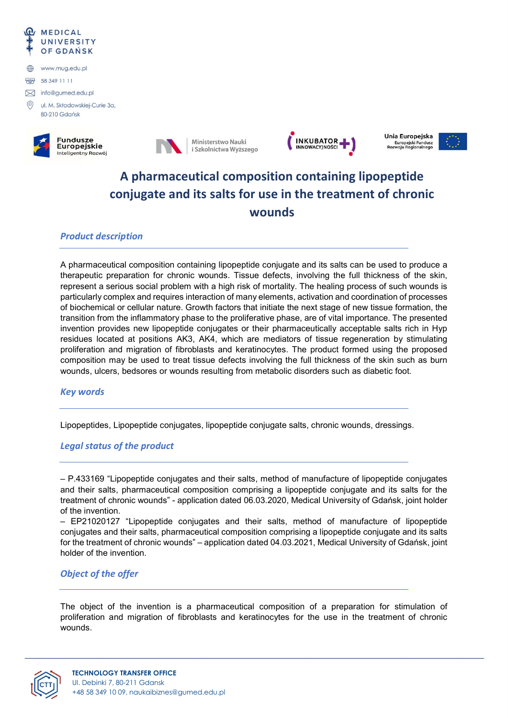







Unia Europejska Europejski Fundusz

# A pharmaceutical composition containing lipopeptide conjugate and its salts for use in the treatment of chronic wounds

# Product description

A pharmaceutical composition containing lipopeptide conjugate and its salts can be used to produce a therapeutic preparation for chronic wounds. Tissue defects, involving the full thickness of the skin, represent a serious social problem with a high risk of mortality. The healing process of such wounds is particularly complex and requires interaction of many elements, activation and coordination of processes of biochemical or cellular nature. Growth factors that initiate the next stage of new tissue formation, the transition from the inflammatory phase to the proliferative phase, are of vital importance. The presented invention provides new lipopeptide conjugates or their pharmaceutically acceptable salts rich in Hyp residues located at positions AK3, AK4, which are mediators of tissue regeneration by stimulating proliferation and migration of fibroblasts and keratinocytes. The product formed using the proposed composition may be used to treat tissue defects involving the full thickness of the skin such as burn wounds, ulcers, bedsores or wounds resulting from metabolic disorders such as diabetic foot.

### Key words

Lipopeptides, Lipopeptide conjugates, lipopeptide conjugate salts, chronic wounds, dressings.

# Legal status of the product

– P.433169 "Lipopeptide conjugates and their salts, method of manufacture of lipopeptide conjugates and their salts, pharmaceutical composition comprising a lipopeptide conjugate and its salts for the treatment of chronic wounds" - application dated 06.03.2020, Medical University of Gdańsk, joint holder of the invention.

– EP21020127 "Lipopeptide conjugates and their salts, method of manufacture of lipopeptide conjugates and their salts, pharmaceutical composition comprising a lipopeptide conjugate and its salts for the treatment of chronic wounds" – application dated 04.03.2021, Medical University of Gdańsk, joint holder of the invention.

# Object of the offer

The object of the invention is a pharmaceutical composition of a preparation for stimulation of proliferation and migration of fibroblasts and keratinocytes for the use in the treatment of chronic wounds.